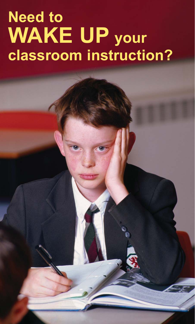## **Need to WAKE UP your classroom instruction?**